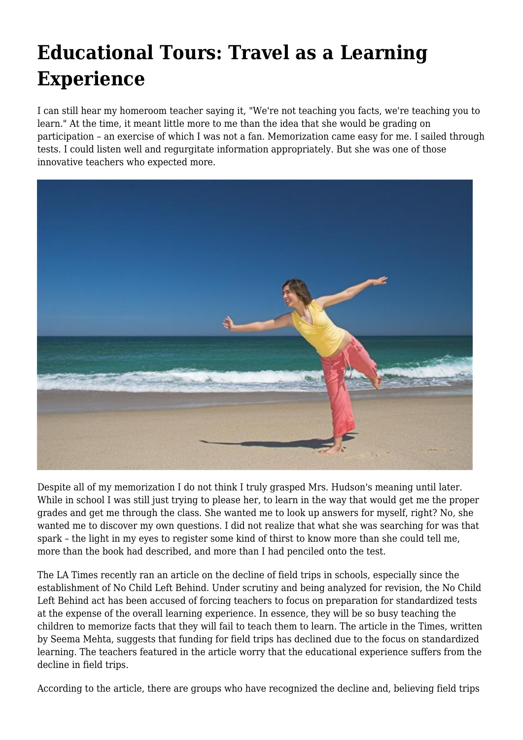## **Educational Tours: Travel as a Learning Experience**

I can still hear my homeroom teacher saying it, "We're not teaching you facts, we're teaching you to learn." At the time, it meant little more to me than the idea that she would be grading on participation – an exercise of which I was not a fan. Memorization came easy for me. I sailed through tests. I could listen well and regurgitate information appropriately. But she was one of those innovative teachers who expected more.



Despite all of my memorization I do not think I truly grasped Mrs. Hudson's meaning until later. While in school I was still just trying to please her, to learn in the way that would get me the proper grades and get me through the class. She wanted me to look up answers for myself, right? No, she wanted me to discover my own questions. I did not realize that what she was searching for was that spark – the light in my eyes to register some kind of thirst to know more than she could tell me, more than the book had described, and more than I had penciled onto the test.

The LA Times recently ran an article on the decline of field trips in schools, especially since the establishment of No Child Left Behind. Under scrutiny and being analyzed for revision, the No Child Left Behind act has been accused of forcing teachers to focus on preparation for standardized tests at the expense of the overall learning experience. In essence, they will be so busy teaching the children to memorize facts that they will fail to teach them to learn. The article in the Times, written by Seema Mehta, suggests that funding for field trips has declined due to the focus on standardized learning. The teachers featured in the article worry that the educational experience suffers from the decline in field trips.

According to the article, there are groups who have recognized the decline and, believing field trips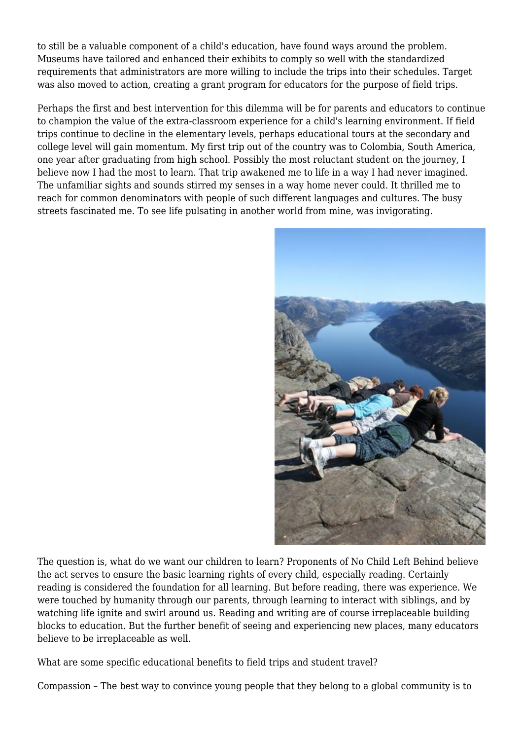to still be a valuable component of a child's education, have found ways around the problem. Museums have tailored and enhanced their exhibits to comply so well with the standardized requirements that administrators are more willing to include the trips into their schedules. Target was also moved to action, creating a grant program for educators for the purpose of field trips.

Perhaps the first and best intervention for this dilemma will be for parents and educators to continue to champion the value of the extra-classroom experience for a child's learning environment. If field trips continue to decline in the elementary levels, perhaps educational tours at the secondary and college level will gain momentum. My first trip out of the country was to Colombia, South America, one year after graduating from high school. Possibly the most reluctant student on the journey, I believe now I had the most to learn. That trip awakened me to life in a way I had never imagined. The unfamiliar sights and sounds stirred my senses in a way home never could. It thrilled me to reach for common denominators with people of such different languages and cultures. The busy streets fascinated me. To see life pulsating in another world from mine, was invigorating.



The question is, what do we want our children to learn? Proponents of No Child Left Behind believe the act serves to ensure the basic learning rights of every child, especially reading. Certainly reading is considered the foundation for all learning. But before reading, there was experience. We were touched by humanity through our parents, through learning to interact with siblings, and by watching life ignite and swirl around us. Reading and writing are of course irreplaceable building blocks to education. But the further benefit of seeing and experiencing new places, many educators believe to be irreplaceable as well.

What are some specific educational benefits to field trips and student travel?

Compassion – The best way to convince young people that they belong to a global community is to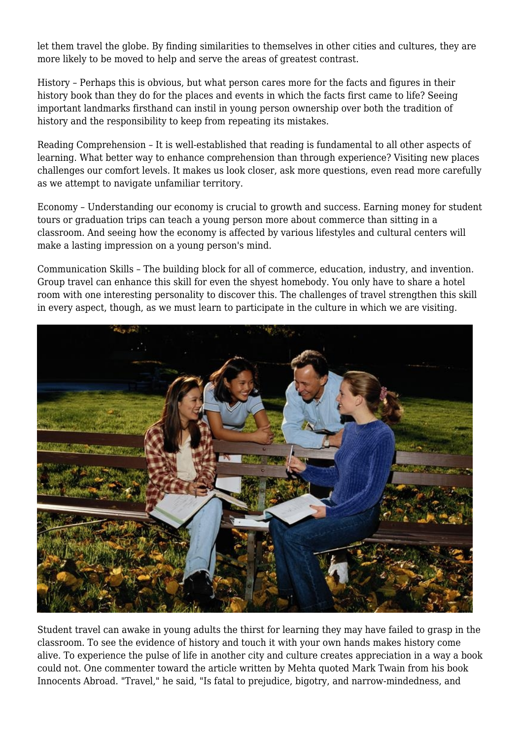let them travel the globe. By finding similarities to themselves in other cities and cultures, they are more likely to be moved to help and serve the areas of greatest contrast.

History – Perhaps this is obvious, but what person cares more for the facts and figures in their history book than they do for the places and events in which the facts first came to life? Seeing important landmarks firsthand can instil in young person ownership over both the tradition of history and the responsibility to keep from repeating its mistakes.

Reading Comprehension – It is well-established that reading is fundamental to all other aspects of learning. What better way to enhance comprehension than through experience? Visiting new places challenges our comfort levels. It makes us look closer, ask more questions, even read more carefully as we attempt to navigate unfamiliar territory.

Economy – Understanding our economy is crucial to growth and success. Earning money for student tours or graduation trips can teach a young person more about commerce than sitting in a classroom. And seeing how the economy is affected by various lifestyles and cultural centers will make a lasting impression on a young person's mind.

Communication Skills – The building block for all of commerce, education, industry, and invention. Group travel can enhance this skill for even the shyest homebody. You only have to share a hotel room with one interesting personality to discover this. The challenges of travel strengthen this skill in every aspect, though, as we must learn to participate in the culture in which we are visiting.



Student travel can awake in young adults the thirst for learning they may have failed to grasp in the classroom. To see the evidence of history and touch it with your own hands makes history come alive. To experience the pulse of life in another city and culture creates appreciation in a way a book could not. One commenter toward the article written by Mehta quoted Mark Twain from his book Innocents Abroad. "Travel," he said, "Is fatal to prejudice, bigotry, and narrow-mindedness, and